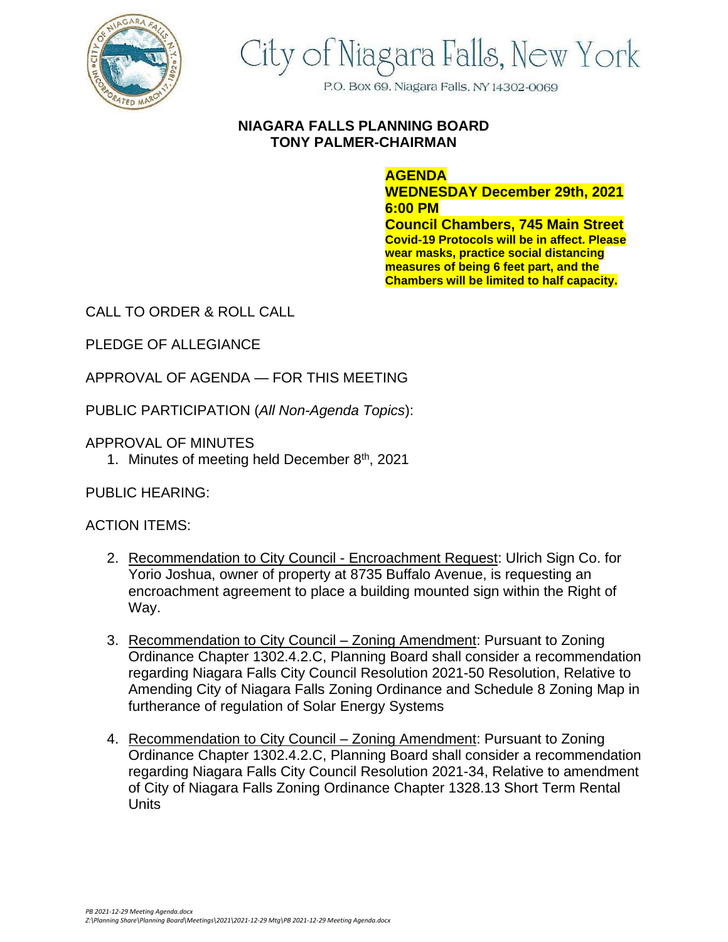

## City of Niagara Falls, New York

P.O. Box 69, Niagara Falls, NY 14302-0069

## **NIAGARA FALLS PLANNING BOARD TONY PALMER-CHAIRMAN**

## **AGENDA**

**WEDNESDAY December 29th, 2021 6:00 PM Council Chambers, 745 Main Street Covid-19 Protocols will be in affect. Please wear masks, practice social distancing measures of being 6 feet part, and the Chambers will be limited to half capacity.**

CALL TO ORDER & ROLL CALL

PLEDGE OF ALLEGIANCE

APPROVAL OF AGENDA — FOR THIS MEETING

PUBLIC PARTICIPATION (*All Non-Agenda Topics*):

APPROVAL OF MINUTES

1. Minutes of meeting held December  $8<sup>th</sup>$ , 2021

PUBLIC HEARING:

## ACTION ITEMS:

- 2. Recommendation to City Council Encroachment Request: Ulrich Sign Co. for Yorio Joshua, owner of property at 8735 Buffalo Avenue, is requesting an encroachment agreement to place a building mounted sign within the Right of Way.
- 3. Recommendation to City Council Zoning Amendment: Pursuant to Zoning Ordinance Chapter 1302.4.2.C, Planning Board shall consider a recommendation regarding Niagara Falls City Council Resolution 2021-50 Resolution, Relative to Amending City of Niagara Falls Zoning Ordinance and Schedule 8 Zoning Map in furtherance of regulation of Solar Energy Systems
- 4. Recommendation to City Council Zoning Amendment: Pursuant to Zoning Ordinance Chapter 1302.4.2.C, Planning Board shall consider a recommendation regarding Niagara Falls City Council Resolution 2021-34, Relative to amendment of City of Niagara Falls Zoning Ordinance Chapter 1328.13 Short Term Rental Units